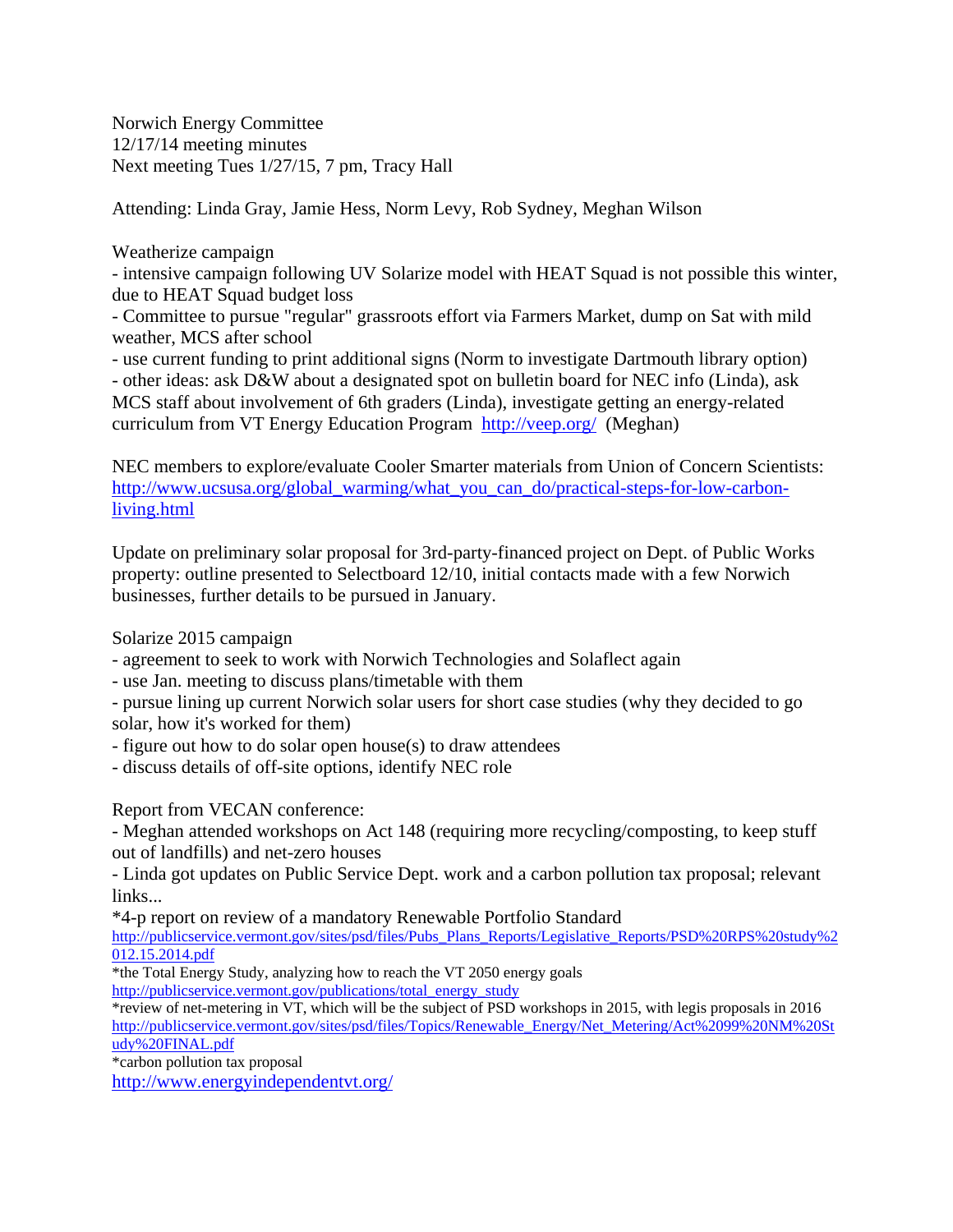Norwich Energy Committee 12/17/14 meeting minutes Next meeting Tues 1/27/15, 7 pm, Tracy Hall

Attending: Linda Gray, Jamie Hess, Norm Levy, Rob Sydney, Meghan Wilson

## Weatherize campaign

- intensive campaign following UV Solarize model with HEAT Squad is not possible this winter, due to HEAT Squad budget loss

- Committee to pursue "regular" grassroots effort via Farmers Market, dump on Sat with mild weather, MCS after school

- use current funding to print additional signs (Norm to investigate Dartmouth library option) - other ideas: ask D&W about a designated spot on bulletin board for NEC info (Linda), ask MCS staff about involvement of 6th graders (Linda), investigate getting an energy-related curriculum from VT Energy Education Program http://veep.org/ (Meghan)

NEC members to explore/evaluate Cooler Smarter materials from Union of Concern Scientists: http://www.ucsusa.org/global\_warming/what\_you\_can\_do/practical-steps-for-low-carbonliving.html

Update on preliminary solar proposal for 3rd-party-financed project on Dept. of Public Works property: outline presented to Selectboard 12/10, initial contacts made with a few Norwich businesses, further details to be pursued in January.

Solarize 2015 campaign

- agreement to seek to work with Norwich Technologies and Solaflect again

- use Jan. meeting to discuss plans/timetable with them

- pursue lining up current Norwich solar users for short case studies (why they decided to go solar, how it's worked for them)

- figure out how to do solar open house(s) to draw attendees

- discuss details of off-site options, identify NEC role

Report from VECAN conference:

- Meghan attended workshops on Act 148 (requiring more recycling/composting, to keep stuff out of landfills) and net-zero houses

- Linda got updates on Public Service Dept. work and a carbon pollution tax proposal; relevant links...

\*4-p report on review of a mandatory Renewable Portfolio Standard http://publicservice.vermont.gov/sites/psd/files/Pubs\_Plans\_Reports/Legislative\_Reports/PSD%20RPS%20study%2 012.15.2014.pdf

\*the Total Energy Study, analyzing how to reach the VT 2050 energy goals http://publicservice.vermont.gov/publications/total\_energy\_study

\*review of net-metering in VT, which will be the subject of PSD workshops in 2015, with legis proposals in 2016 http://publicservice.vermont.gov/sites/psd/files/Topics/Renewable\_Energy/Net\_Metering/Act%2099%20NM%20St udy%20FINAL.pdf

\*carbon pollution tax proposal

http://www.energyindependentvt.org/